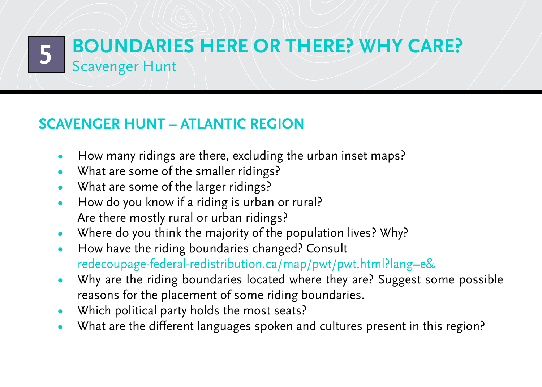## **Scavenger Hunt – Atlantic region**

- How many ridings are there, excluding the urban inset maps?
- What are some of the smaller ridings?
- What are some of the larger ridings?
- How do you know if a riding is urban or rural? Are there mostly rural or urban ridings?
- Where do you think the majority of the population lives? Why?
- **•**  How have the riding boundaries changed? Consult [redecoupage-federal-redistribution.ca/map/pwt/pwt.html?lang=e&](http://www.redecoupage-federal-redistribution.ca/map/pwt/pwt.html?lang=e&)
- Why are the riding boundaries located where they are? Suggest some possible reasons for the placement of some riding boundaries.
- Which political party holds the most seats?
- What are the different languages spoken and cultures present in this region?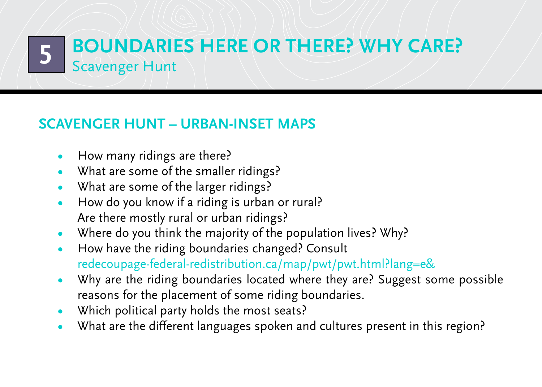#### **Scavenger Hunt – Urban-inset maps**

- How many ridings are there?
- What are some of the smaller ridings?
- What are some of the larger ridings?
- How do you know if a riding is urban or rural? Are there mostly rural or urban ridings?
- Where do you think the majority of the population lives? Why?
- **•**  How have the riding boundaries changed? Consult [redecoupage-federal-redistribution.ca/map/pwt/pwt.html?lang=e&](http://www.redecoupage-federal-redistribution.ca/map/pwt/pwt.html?lang=e&)
- Why are the riding boundaries located where they are? Suggest some possible reasons for the placement of some riding boundaries.
- Which political party holds the most seats?
- What are the different languages spoken and cultures present in this region?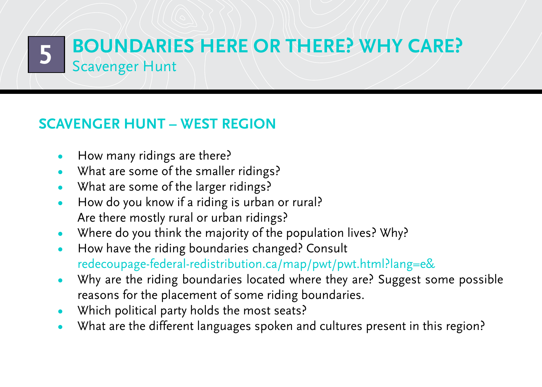**Boundaries here or there? Why care? Scavenger Hunt** 

## **Scavenger Hunt – West region**

- How many ridings are there?
- What are some of the smaller ridings?
- What are some of the larger ridings?
- How do you know if a riding is urban or rural? Are there mostly rural or urban ridings?
- Where do you think the majority of the population lives? Why?
- **•**  How have the riding boundaries changed? Consult [redecoupage-federal-redistribution.ca/map/pwt/pwt.html?lang=e&](http://www.redecoupage-federal-redistribution.ca/map/pwt/pwt.html?lang=e&)
- Why are the riding boundaries located where they are? Suggest some possible reasons for the placement of some riding boundaries.
- Which political party holds the most seats?
- What are the different languages spoken and cultures present in this region?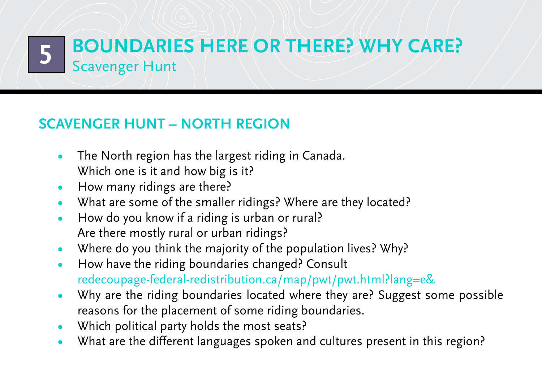## **Scavenger Hunt – North region**

- The North region has the largest riding in Canada. Which one is it and how big is it?
- How many ridings are there?
- What are some of the smaller ridings? Where are they located?
- How do you know if a riding is urban or rural? Are there mostly rural or urban ridings?
- Where do you think the majority of the population lives? Why?
- **•**  How have the riding boundaries changed? Consult [redecoupage-federal-redistribution.ca/map/pwt/pwt.html?lang=e&](http://www.redecoupage-federal-redistribution.ca/map/pwt/pwt.html?lang=e&)
- Why are the riding boundaries located where they are? Suggest some possible reasons for the placement of some riding boundaries.
- Which political party holds the most seats?
- What are the different languages spoken and cultures present in this region?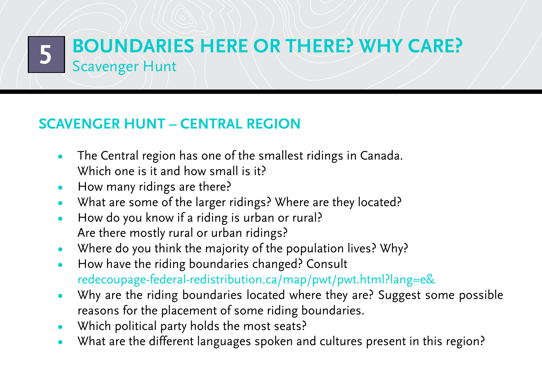## **Scavenger Hunt – Central region**

- The Central region has one of the smallest ridings in Canada. Which one is it and how small is it?
- How many ridings are there?
- What are some of the larger ridings? Where are they located?
- How do you know if a riding is urban or rural? Are there mostly rural or urban ridings?
- Where do you think the majority of the population lives? Why?
- **•**  How have the riding boundaries changed? Consult [redecoupage-federal-redistribution.ca/map/pwt/pwt.html?lang=e&](http://www.redecoupage-federal-redistribution.ca/map/pwt/pwt.html?lang=e&)
- Why are the riding boundaries located where they are? Suggest some possible reasons for the placement of some riding boundaries.
- Which political party holds the most seats?
- What are the different languages spoken and cultures present in this region?